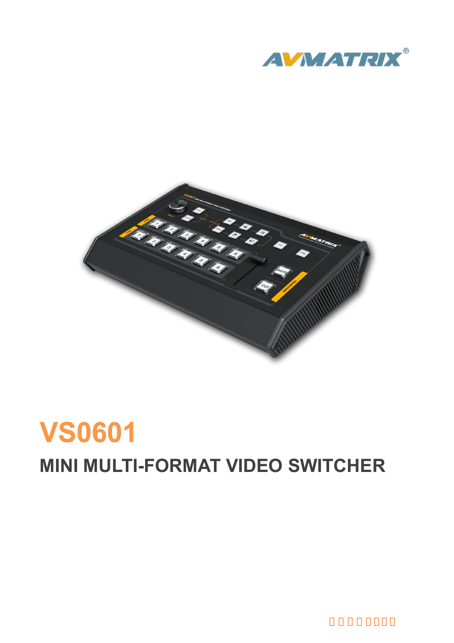



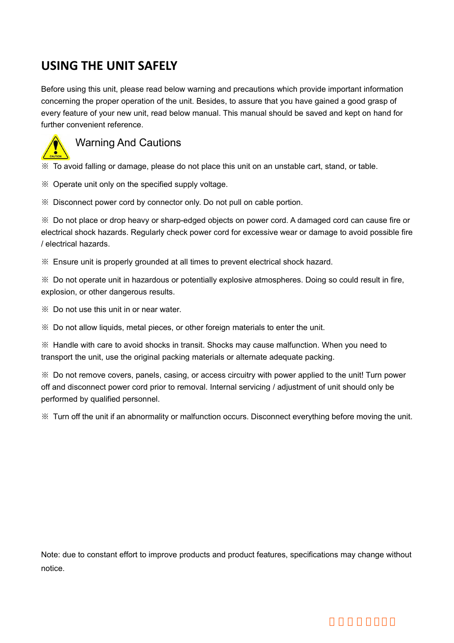**USING THE UNIT SAFELY**<br>Before using this unit, please read below warning and precautions which proveoncerning the proper operation of the unit. Besides, to assure that you have<br>every feature of your new unit, read below m USING THE UNIT SAFELY<br>Before using this unit, please read below warning and precautions which provide important information<br>concerning the proper operation of the unit. Besides, to assure that you have gained a good grasp **CONCE THE UNIT SAFELY**<br>Before using this unit, please read below warning and precautions which provide important information<br>concerning the proper operation of the unit. Besides, to assure that you have gained a good gra USING THE UNIT SAFELY<br>Before using this unit, please read below warning and precautions which provide important information<br>concerning the proper operation of the unit. Besides, to assure that you have gained a good grasp USING THE UNIT SAFELY<br>Before using this unit, please read below warning an<br>concerning the proper operation of the unit. Besides,<br>every feature of your new unit, read below manual. T<br>further convenient reference.<br>Warning An **THE UNIT SAFELY**<br>ing this unit, please read below warning and precautions which<br>g the proper operation of the unit. Besides, to assure that you h<br>ture of your new unit, read below manual. This manual should b<br>nvenient ref USING THE UNIT SAFELY<br>
Before using this unit, please read below warning and precautions which provide important information<br>
concerning the proper operation of the unit. Besides, to assure that you have gained a good gras SERVIT THE UNIT SAFELT<br>
Before using this unit, please read below warning and precautions which providence<br>
concerning the proper operation of the unit. Besides, to assure that you have g<br>
every feature of your new unit, r Eefore using this unit, please read below warning and precautions which provide important information<br>concerning the proper operation of the unit. Besides, to assure that you have gained a good grasp of<br>every feature of y



Warning the proper operation of the tilt. Besides, to assure that you have gained a good grasp or<br>every feature of your new unit, read below manual. This manual should be saved and kept on hand for<br>further convenient refer Warning And Cautions<br>
Warning And Cautions<br>
Some the specified supply voltage.<br>
Some than the specified supply voltage.<br>
Some than the specified supply voltage.<br>
Some than the specified supply voltage.<br>
Some to avoid falli Warning And Cautions<br>
• Warning And Cautions<br>
• To avoid falling or damage, please do not<br>
• Operate unit only on the specified supply<br>
• Disconnect power cord by connector only<br>
• Do not place or drop heavy or sharp-edge<br> Welling Ario Gaudioris<br>
\*\* To avoid falling or damage, please do not place this unit on an unstable cart, stand, or table.<br>
\*\* Operate unit only on the specified supply voltage.<br>
\*\* Disconnect power cord by connector only. We To avoid falling or damage, please do not place this unit on an unstable cart, stand, or table.<br>
We Operate unit only on the specified supply voltage.<br>
We Disconnect power cord by connector only. Do not pull on cable po Explorate unit only on the specified supply voltage.<br>
So Disconnect power cord by connector only. Do not pull on cabe<br>
So Disconnect power cord by connector only. Do not pull on cabe<br>
So Disconto place or drop heavy or sha <p>\n<sup>∗</sup> Disconnect power cord by connector only. Do not pull on cable <math display="inline">\uparrow</math></sup> <sup>∗</sup> Do not place or drop heavy or sharp-edged objects on power co electrical shock hazards. Regularly check power cord for excessive / electrical hazards.\n</p>\n<p>\n<sup>∗</sup> Ensure unit is properly grounded at all times to prevent electrical <math display="inline">\uparrow</math></sup> <sup>∗</sup> <sup>∗</sup> Do not operate unit in hazardous or potentially explore atmosplosion, or other dangerous results.\n</p>\n<p>\n<sup>∗</sup> Do not use this unit in or near water.\n</p>\n<p>\n<sup>∗</sup> Do not allow liquids, metal pieces, or other foreign materials to e <math display="inline">\uparrow</math></p>\n<p>\n<sup>∗</ We Do not place or drop heavy or sharp-edged objects on power cord. A damaged cord can cause fire or electrical shock hazards. Regularly check power cord for excessive wear or damage to avoid possible fire  $\ell$  electrical electrical shock hazards. Regularly check power cord for excessive wear or damage to avoid possible fire<br>  $\theta$ /electrical hazards.<br>  $\%$  Ensure unit is properly grounded at all times to prevent electrical shock hazard.<br>  $\$ 

First School of electrical hazards.<br>
Section in the property grounded at all times to prevent electrical shock hazard.<br>
Section with the unit, in hazardous or potentially explosive atmospheres. Doing so could result in fir We Ensure unit is properly grounded at all times to prevent electrical shock hazard.<br>
We Do not operate unit in hazardous or potentially explosive atmospheres. Doing so could result in fire,<br>
explosion, or other dangerous of and the unit in hazardous or potentially explosive atmospheres. Doing so could result in fire,<br>explosion, or other dangerous results.<br>We be a cording the disconnect prior to removal. And the unit of the unit<br>disconnect we bo not operate untertriazaruous or potentially explosexplosion, or other dangerous results.<br>
We bo not use this unit in or near water.<br>
We bo not allow liquids, metal pieces, or other foreign mas<br>
We Handle with care to We Do not use this unit in or near water.<br>
We Do not allow liquids, metal pieces, or other foreign materials to enter the unit.<br>
Memory of the unit, use the original packing materials or alternate adequate packing.<br>
Memory

Note: due to constant effort to improve products and product features, specifications may change without notice.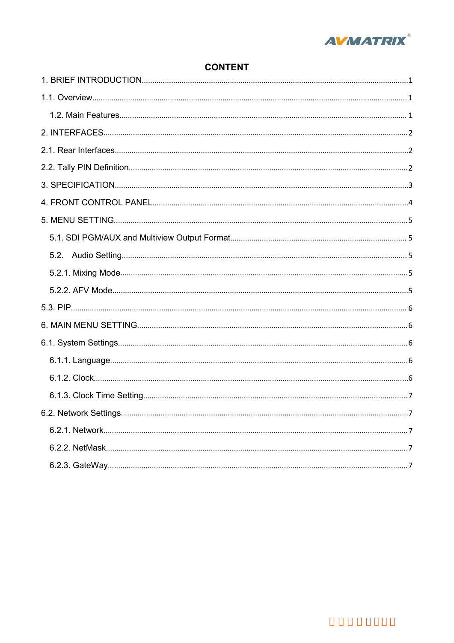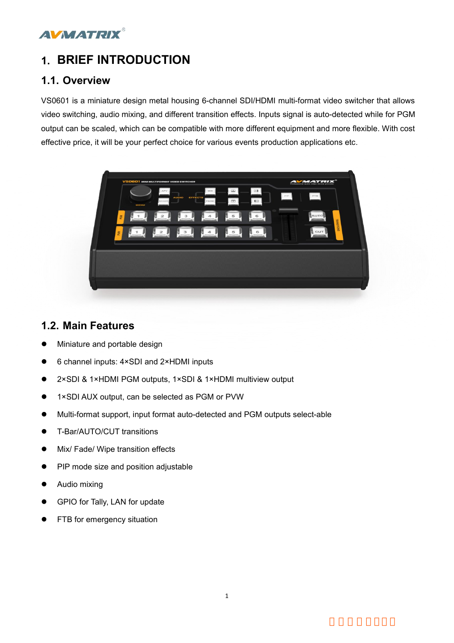<span id="page-3-1"></span><span id="page-3-0"></span>

**1. BRIEF INTRODUCTION**<br> **1.1. Overview**<br>
VS0601 is a miniature design metal housing 6-channel SDI/HDMI multi-format video switching, audio mixing, and different transition effects. Inputs signal is auto-detected<br>
witch so **1. BRIEF INTRODUCTION**<br>**1.1. Overview**<br>VS0601 is a miniature design metal housing 6-channel SDI/HDI<br>video switching, audio mixing, and different transition effects. Inp<br>output can be scaled, which can be compatible with m **1.BRIEF INTRODUCTION**<br>1.1. Overview<br>VS0601 is a miniature design metal housing 6-channel SDI/HDMI multi-format video switcher that allows<br>video switching, audio mixing, and different transition effects. Inputs signal is **VICK TRIX<sup>®</sup><br>1.1. Overview**<br>VS0601 is a miniature design metal housing 6-channel SDI/HDMI multi-format video switcher that allows<br>video switching, audio mixing, and different transition effects. Inputs signal is auto-dete **COUTRE ANT ANTALL ANT ANTALL ANTAGE ANTAGE ASSEM AND A SET ANTIFICATE ASSEMATATION**<br>
US0601 is a miniature design metal housing 6-channel SDI/HDMI multi-format video switcher that allows<br>
video switching, audio mixing, an **EFFINTRODUCTION**<br> **ERRICH INTRODUCTION**<br>
US0601 is a miniature design metal housing 6-channel SDI/HDMI multi-format video switcher that allows<br>
video switching, audio mixing, and different transition effects. Inputs signa



- 
- 
- <span id="page-3-2"></span>**1.2. Main Features**<br>
• Miniature and portable design<br>
• 6 channel inputs:  $4 \times SDI$  and  $2 \times HDMI$  inputs<br>
•  $2 \times SDI$  &  $1 \times HDMI$  PGM outputs,  $1 \times SDI$  &  $1 \times HDMI$  m<br>
•  $1 \times SDI$  AUX output, can be selected as PGM or PVW<br>
• Multi-■ Miniature and portable design<br>
■ 6 channel inputs: 4×SDI and 2×HDMI inputs<br>
■ 2×SDI & 1×HDMI PGM outputs, 1×SDI & 1×HDMI multiview<br>
■ 1×SDI AUX output, can be selected as PGM or PVW<br>
■ Multi-format support, input format ■ 6 channel inputs: 4×SDI and 2×HDMI inputs<br>
■ 2×SDI & 1×HDMI PGM outputs, 1×SDI & 1×HDMI multiview o<br>
■ 1×SDI AUX output, can be selected as PGM or PVW<br>
■ Multi-format support, input format auto-detected and PGM out<br>
■ T • 2×SDI & 1×HDMI PGM outputs, 1×SDI &<br>1×SDI AUX output, can be selected as F<br>• Multi-format support, input format auto-d<br>• T-Bar/AUTO/CUT transitions<br>• Mix/ Fade/ Wipe transition effects<br>• PIP mode size and position adjus
- 
- 1.2. Main Features<br>
 Miniature and portable design<br>
 6 channel inputs: 4×SDI and 2×HDMI inputs<br>
 2×SDI & 1×HDMI PGM outputs, 1×SDI & 1×HDMI multiview output<br>
 1×SDI AUX output, can be selected as PGM or PVW<br>
 Multi-f ■ 1×SDI AUX output, can be selected as PGM or PVW<br>
■ Multi-format support, input format auto-detected and PGM<br>
■ T-Bar/AUTO/CUT transitions<br>
■ Mix/ Fade/ Wipe transition effects<br>
■ PIP mode size and position adjustable<br>
■ ■ Multi-format support, input format auto-detected and F<br>
■ T-Bar/AUTO/CUT transitions<br>
■ Mix/ Fade/ Wipe transition effects<br>
■ PIP mode size and position adjustable<br>
■ Audio mixing<br>
■ GPIO for Tally, LAN for update<br>
■ FT
- 
- 
- 
- 
- 
-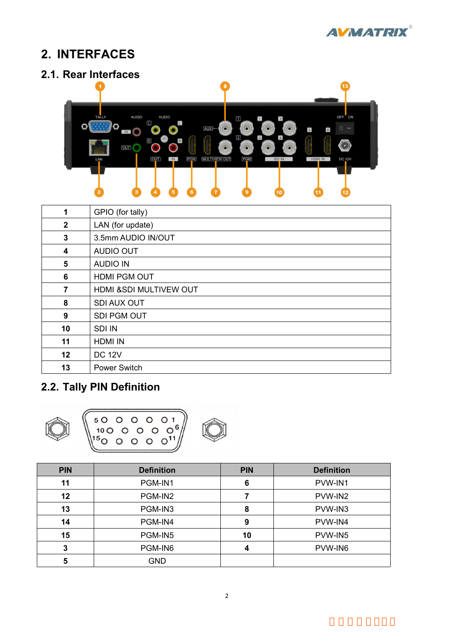



<span id="page-4-1"></span><span id="page-4-0"></span>

|                | $\boxed{2}$<br>$\overline{2}$<br>$\overline{4}$<br>$\bullet$<br>$\boxed{R}$<br>$\ensuremath{\mathsf{R}}$<br>$\sim$<br>(PGM)<br><b>MULTIVIEW OUT</b><br>(PGM)<br><b>OUT</b><br>$\blacksquare$<br>SDI IN<br><b>HDMI IN</b><br><b>DC 12V</b> |
|----------------|-------------------------------------------------------------------------------------------------------------------------------------------------------------------------------------------------------------------------------------------|
| 1              | GPIO (for tally)                                                                                                                                                                                                                          |
| $\overline{2}$ | LAN (for update)                                                                                                                                                                                                                          |
| 3              | 3.5mm AUDIO IN/OUT                                                                                                                                                                                                                        |
| 4              | <b>AUDIO OUT</b>                                                                                                                                                                                                                          |
| 5              | <b>AUDIO IN</b>                                                                                                                                                                                                                           |
| 6              | HDMI PGM OUT                                                                                                                                                                                                                              |
| $\overline{7}$ | HDMI &SDI MULTIVEW OUT                                                                                                                                                                                                                    |
| 8              | SDI AUX OUT                                                                                                                                                                                                                               |
| 9              | SDI PGM OUT                                                                                                                                                                                                                               |
| 10             | <b>SDI IN</b>                                                                                                                                                                                                                             |
| 11             | <b>HDMI IN</b>                                                                                                                                                                                                                            |
| 12             | <b>DC 12V</b>                                                                                                                                                                                                                             |
| 13             | <b>Power Switch</b>                                                                                                                                                                                                                       |
|                | 2.2. Tally PIN Definition<br>O <sub>1</sub><br>$\Omega$<br>$\Omega$<br>5<br>$O_6$<br>10 <sub>O</sub>                                                                                                                                      |

<span id="page-4-2"></span>

| <b>PIN</b> | <b>Definition</b> | <b>PIN</b> | <b>Definition</b> |
|------------|-------------------|------------|-------------------|
| 11         | PGM-IN1           | 6          | PVW-IN1           |
| 12         | PGM-IN2           |            | PVW-IN2           |
| 13         | PGM-IN3           | 8          | PVW-IN3           |
| 14         | PGM-IN4           | 9          | PVW-IN4           |
| 15         | PGM-IN5           | 10         | PVW-IN5           |
| 2          | PGM-IN6           | 4          | PVW-IN6           |
|            | <b>GND</b>        |            |                   |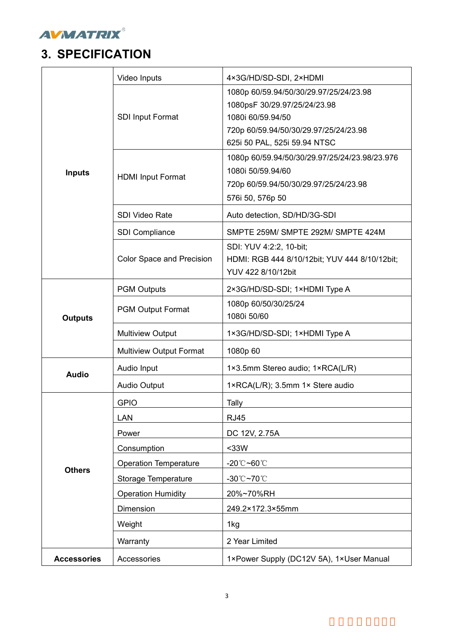<span id="page-5-0"></span>

| <b>AVMATRIX®</b><br><b>3. SPECIFICATION</b> |                                |                                                                                                                                                                      |
|---------------------------------------------|--------------------------------|----------------------------------------------------------------------------------------------------------------------------------------------------------------------|
|                                             |                                |                                                                                                                                                                      |
|                                             | Video Inputs                   | 4×3G/HD/SD-SDI, 2×HDMI                                                                                                                                               |
|                                             | <b>SDI Input Format</b>        | 1080p 60/59.94/50/30/29.97/25/24/23.98<br>1080psF 30/29.97/25/24/23.98<br>1080i 60/59.94/50<br>720p 60/59.94/50/30/29.97/25/24/23.98<br>625i 50 PAL, 525i 59.94 NTSC |
| <b>Inputs</b>                               | <b>HDMI Input Format</b>       | 1080p 60/59.94/50/30/29.97/25/24/23.98/23.976<br>1080i 50/59.94/60<br>720p 60/59.94/50/30/29.97/25/24/23.98<br>576i 50, 576p 50                                      |
|                                             | SDI Video Rate                 | Auto detection, SD/HD/3G-SDI                                                                                                                                         |
|                                             | SDI Compliance                 | SMPTE 259M/ SMPTE 292M/ SMPTE 424M                                                                                                                                   |
|                                             | Color Space and Precision      | SDI: YUV 4:2:2, 10-bit;<br>HDMI: RGB 444 8/10/12bit; YUV 444 8/10/12bit;<br>YUV 422 8/10/12bit                                                                       |
|                                             | <b>PGM Outputs</b>             | 2×3G/HD/SD-SDI; 1×HDMI Type A                                                                                                                                        |
| <b>Outputs</b>                              | <b>PGM Output Format</b>       | 1080p 60/50/30/25/24<br>1080i 50/60                                                                                                                                  |
|                                             | <b>Multiview Output</b>        | 1×3G/HD/SD-SDI; 1×HDMI Type A                                                                                                                                        |
|                                             | <b>Multiview Output Format</b> | 1080p 60                                                                                                                                                             |
|                                             | Audio Input                    | 1×3.5mm Stereo audio; 1×RCA(L/R)                                                                                                                                     |
| <b>Audio</b>                                | <b>Audio Output</b>            | 1×RCA(L/R); 3.5mm 1× Stere audio                                                                                                                                     |
|                                             | <b>GPIO</b>                    | Tally                                                                                                                                                                |
|                                             | LAN                            | <b>RJ45</b>                                                                                                                                                          |
|                                             | Power                          | DC 12V, 2.75A                                                                                                                                                        |
|                                             | Consumption                    | <33W                                                                                                                                                                 |
|                                             | <b>Operation Temperature</b>   | -20 $^{\circ}$ C~60 $^{\circ}$ C                                                                                                                                     |
| <b>Others</b>                               | Storage Temperature            | -30°C~70°C                                                                                                                                                           |
|                                             | <b>Operation Humidity</b>      | 20%~70%RH                                                                                                                                                            |
|                                             | Dimension                      | 249.2×172.3×55mm                                                                                                                                                     |
|                                             | Weight                         | 1kg                                                                                                                                                                  |
|                                             | Warranty                       | 2 Year Limited                                                                                                                                                       |
| <b>Accessories</b>                          | Accessories                    |                                                                                                                                                                      |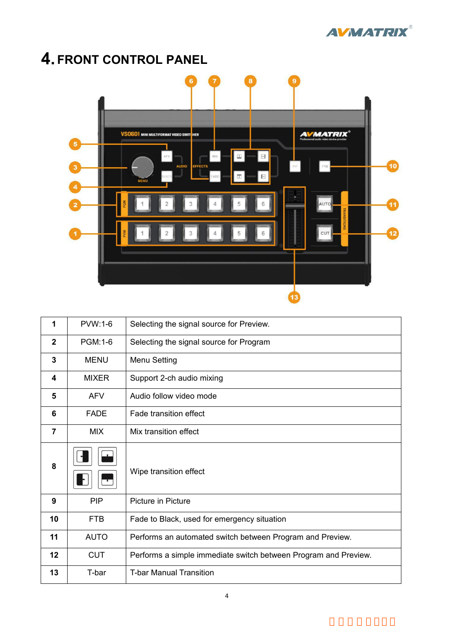

<span id="page-6-0"></span>

| 1                       | PVW:1-6      | Selecting the signal source for Preview.                        |
|-------------------------|--------------|-----------------------------------------------------------------|
| $\overline{\mathbf{2}}$ | PGM:1-6      | Selecting the signal source for Program                         |
| 3                       | <b>MENU</b>  | Menu Setting                                                    |
| 4                       | <b>MIXER</b> | Support 2-ch audio mixing                                       |
| 5                       | <b>AFV</b>   | Audio follow video mode                                         |
| 6                       | <b>FADE</b>  | Fade transition effect                                          |
| $\overline{7}$          | <b>MIX</b>   | Mix transition effect                                           |
| 8                       |              | Wipe transition effect                                          |
| $\boldsymbol{9}$        | <b>PIP</b>   | Picture in Picture                                              |
| 10                      | <b>FTB</b>   | Fade to Black, used for emergency situation                     |
| 11                      | <b>AUTO</b>  | Performs an automated switch between Program and Preview.       |
| 12                      | <b>CUT</b>   | Performs a simple immediate switch between Program and Preview. |
| 13                      | T-bar        | <b>T-bar Manual Transition</b>                                  |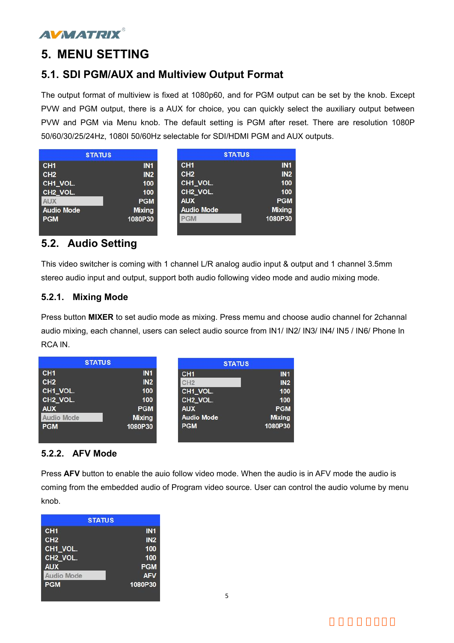<span id="page-7-0"></span>

**5. MENU SETTING**<br>**5.1. SDI PGM/AUX and Multiview Output Format**<br>The output format of multiview is fixed at 1080p60, and for PGM output can be<br>PVW and PGM output, there is a AUX for choice, you can quickly select the and P **5. MENU SETTING**<br>**5.1. SDI PGM/AUX and Multiview Output Format**<br>The output format of multiview is fixed at 1080p60, and for PGM output can be set by the knob. Exce<br>PVW and PGM output, there is a AUX for choice, you can qu **S. MENU SETTING**<br>**5.1. SDI PGM/AUX and Multiview Output Format**<br>The output format of multiview is fixed at 1080p60, and for PGM output can be set by the knob. Except<br>PVW and PGM output, there is a AUX for choice, you can **FRAM SETTING**<br> **FRAM OUTRE SETTING**<br> **FRAM OUTRE AUX AND MULTIVIEW OUTPUT FORM** output can be set by the knob. Except<br>
PVW and PGM output, there is a AUX for choice, you can quickly select the auxiliary output between<br>
PV **FORM SETTING**<br> **F.1. SDI PGM/AUX and Multiview Output Format**<br>
The output format of multiview is fixed at 1080p60, and for PGM output can be set by the knob. Except<br>
PVW and PGM output, there is a AUX for choice, you can 5. MENU SETTING<br>
5.1. SDI PGM/AUX and Multiview Output Format<br>
The output format of multiview is fixed at 1080p60, and for PGM output can be set by the knob. Except<br>
PVW and PGM via Menu knob. The default setting is PGM af

<span id="page-7-1"></span>

|                                                                                                                                                                                                                                |                                                                                                                         | The output format of multiview is fixed at 1080p60, and for PGM output can be set by the knob. Except                                                                                                      |  |
|--------------------------------------------------------------------------------------------------------------------------------------------------------------------------------------------------------------------------------|-------------------------------------------------------------------------------------------------------------------------|------------------------------------------------------------------------------------------------------------------------------------------------------------------------------------------------------------|--|
|                                                                                                                                                                                                                                |                                                                                                                         | PVW and PGM output, there is a AUX for choice, you can quickly select the auxiliary output between                                                                                                         |  |
|                                                                                                                                                                                                                                |                                                                                                                         | PVW and PGM via Menu knob. The default setting is PGM after reset. There are resolution 1080P                                                                                                              |  |
| 50/60/30/25/24Hz, 1080I 50/60Hz selectable for SDI/HDMI PGM and AUX outputs.                                                                                                                                                   |                                                                                                                         |                                                                                                                                                                                                            |  |
| <b>STATUS</b>                                                                                                                                                                                                                  | <b>STATUS</b>                                                                                                           |                                                                                                                                                                                                            |  |
| CH <sub>1</sub><br><b>IN1</b><br>CH <sub>2</sub><br>IN <sub>2</sub><br>CH1_VOL.<br>100<br>CH <sub>2_VOL</sub><br>100<br>AUX<br><b>PGM</b><br><b>Audio Mode</b><br><b>Mixing</b><br><b>PGM</b><br>1080P30<br>5.2. Audio Setting | CH <sub>1</sub><br>CH <sub>2</sub><br>CH1_VOL.<br>CH <sub>2_VOL.</sub><br><b>AUX</b><br><b>Audio Mode</b><br><b>PGM</b> | IN1<br>IN <sub>2</sub><br>100<br>100<br><b>PGM</b><br><b>Mixing</b><br>1080P30                                                                                                                             |  |
| 5.2.1. Mixing Mode                                                                                                                                                                                                             |                                                                                                                         | This video switcher is coming with 1 channel L/R analog audio input & output and 1 channel 3.5mm<br>stereo audio input and output, support both audio following video mode and audio mixing mode.          |  |
| RCA IN.                                                                                                                                                                                                                        |                                                                                                                         | Press button MIXER to set audio mode as mixing. Press memu and choose audio channel for 2channal<br>audio mixing, each channel, users can select audio source from IN1/ IN2/ IN3/ IN4/ IN5 / IN6/ Phone In |  |

<span id="page-7-2"></span>Press button MIXER to set audio mode as mixing. Press memu and choose audio channel for 2channal<br>Press button MIXER to set audio mode as mixing. Press memu and choose audio channel for 2channal<br>audio mixing, each channel, FGM 1080P30<br> **EGM** 1080P30<br> **EGM** 1080P30<br>
This video switcher is coming with 1 channel L/R analog audio input & output and 1 channel 3.5mm<br>
stereo audio input and output, support both audio following video mode and audio **5.2. Audio Setting**<br>This video switcher is coming with 1 ch<br>stereo audio input and output, support 1<br>**5.2.1. Mixing Mode**<br>Press button MIXER to set audio mode<br>audio mixing, each channel, users can<br>RCA IN.<br>STATUS<br>CH1<br>CH2

<span id="page-7-3"></span>

| audio mixing, each channel, users can select audio source from IN1/ IN2/ IN3/ IN4/ IN5 / IN6/ Phone In<br>RCA IN.                                                                                               |                                                                                |                                                                                                                         |                                                                    |  |  |
|-----------------------------------------------------------------------------------------------------------------------------------------------------------------------------------------------------------------|--------------------------------------------------------------------------------|-------------------------------------------------------------------------------------------------------------------------|--------------------------------------------------------------------|--|--|
| <b>STATUS</b>                                                                                                                                                                                                   |                                                                                | <b>STATUS</b>                                                                                                           |                                                                    |  |  |
| CH <sub>1</sub><br>CH <sub>2</sub><br>CH1_VOL.<br>CH <sub>2_VOL</sub><br><b>AUX</b><br>Audio Mode<br><b>PGM</b>                                                                                                 | IN1<br>IN <sub>2</sub><br>100<br>100<br><b>PGM</b><br><b>Mixing</b><br>1080P30 | CH <sub>1</sub><br>CH <sub>2</sub><br>CH1_VOL.<br>CH <sub>2</sub> VOL.<br><b>AUX</b><br><b>Audio Mode</b><br><b>PGM</b> | IN1<br>IN2<br>100<br>100<br><b>PGM</b><br><b>Mixing</b><br>1080P30 |  |  |
| 5.2.2. AFV Mode                                                                                                                                                                                                 |                                                                                |                                                                                                                         |                                                                    |  |  |
| Press AFV button to enable the aujo follow video mode. When the audio is in AFV mode the audio is<br>coming from the embedded audio of Program video source. User can control the audio volume by menu<br>knob. |                                                                                |                                                                                                                         |                                                                    |  |  |
| <b>STATUS</b>                                                                                                                                                                                                   |                                                                                |                                                                                                                         |                                                                    |  |  |

<span id="page-7-4"></span>

| <b>STATUS</b>        |                 |
|----------------------|-----------------|
| CH <sub>1</sub>      | IN <sub>1</sub> |
| CH <sub>2</sub>      | IN <sub>2</sub> |
| CH1_VOL.             | 100             |
| CH <sub>2</sub> VOL. | 100             |
| <b>AUX</b>           | <b>PGM</b>      |
| <b>Audio Mode</b>    | <b>AFV</b>      |
| <b>PGM</b>           | 1080P30         |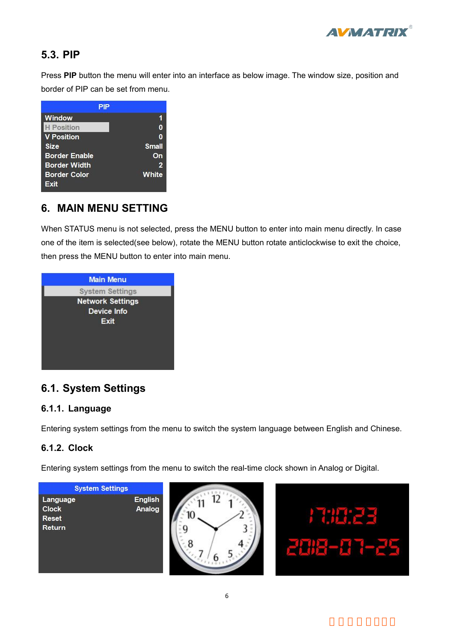

**5.3. PIP**<br>Press PIP button the menu will enter into an interfactor<br>border of PIP can be set from menu. **FREE SET PIP**<br>Press PIP button the menu will enter into an interface as below image. The window size, position and<br>border of PIP can be set from menu. 5.3. PIP<br>Press PIP button the menu will enter into an interface as below if<br>border of PIP can be set from menu.<br>PIP<br>Window PIP 1

<span id="page-8-0"></span>

Window<br>
I Flexition<br>
Size small<br>
Sorder Enable<br>
Size small<br>
Der Border Width<br>
Der Border Color<br>
Size Border Color<br>
When STATUS menu is not selected, press the MENU button to enter into main menu directly. In case<br>
one of t **Example of the item is selected** (see below), rotate the MENU button to enter into main menu directly. In case<br> **Sorder Color**<br> **C. MAIN MENU SETTING**<br>
When STATUS menu is not selected, press the MENU button to enter in Size Small<br>
Size Small<br>
Border Enable On<br>
Border Color White<br>
Exit<br>
6. MAIN MENU SETTING<br>
When STATUS menu is not selected, press the MENU button to enter into main n<br>
one of the item is selected(see below), rotate the MEN

<span id="page-8-1"></span>

| one of the item is selected(see below), rotate the MENU button rotate anticlockwise to exit the choice, |
|---------------------------------------------------------------------------------------------------------|
| then press the MENU button to enter into main menu.                                                     |
| <b>Main Menu</b><br><b>System Settings</b><br><b>Network Settings</b><br><b>Device Info</b>             |
| Exit                                                                                                    |
| <b>6.1. System Settings</b>                                                                             |
| 6.1.1. Language                                                                                         |
| Entering system settings from the menu to switch the system language between English and Chinese.       |
| 6.1.2. Clock                                                                                            |
|                                                                                                         |
| Entering system settings from the menu to switch the real-time clock shown in Analog or Digital.        |

<span id="page-8-4"></span><span id="page-8-3"></span><span id="page-8-2"></span>